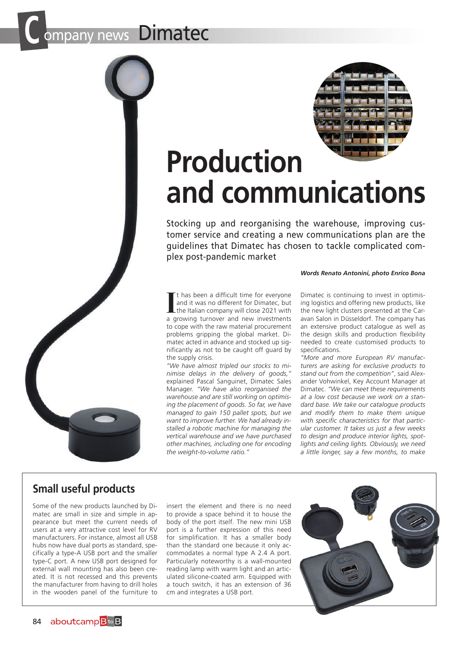## any news **Dimatec**





# **Production and communications**

Stocking up and reorganising the warehouse, improving customer service and creating a new communications plan are the guidelines that Dimatec has chosen to tackle complicated complex post-pandemic market

#### *Words Renato Antonini, photo Enrico Bona*

If thas been a difficult time for everyone<br>and it was no different for Dimatec, but<br>the Italian company will close 2021 with<br>a growing turnover and new investments t has been a difficult time for everyone and it was no different for Dimatec, but the Italian company will close 2021 with to cope with the raw material procurement problems gripping the global market. Dimatec acted in advance and stocked up significantly as not to be caught off guard by the supply crisis.

*"We have almost tripled our stocks to minimise delays in the delivery of goods,"*  explained Pascal Sanguinet, Dimatec Sales Manager. *"We have also reorganised the warehouse and are still working on optimising the placement of goods. So far, we have managed to gain 150 pallet spots, but we want to improve further. We had already installed a robotic machine for managing the vertical warehouse and we have purchased other machines, including one for encoding the weight-to-volume ratio."*

Dimatec is continuing to invest in optimising logistics and offering new products, like the new light clusters presented at the Caravan Salon in Düsseldorf. The company has an extensive product catalogue as well as the design skills and production flexibility needed to create customised products to specifications.

*"More and more European RV manufacturers are asking for exclusive products to stand out from the competition"*, said Alexander Vohwinkel, Key Account Manager at Dimatec. *"We can meet these requirements at a low cost because we work on a standard base. We take our catalogue products and modify them to make them unique with specific characteristics for that particular customer. It takes us just a few weeks to design and produce interior lights, spotlights and ceiling lights. Obviously, we need a little longer, say a few months, to make* 

### **Small useful products**

Some of the new products launched by Dimatec are small in size and simple in appearance but meet the current needs of users at a very attractive cost level for RV manufacturers. For instance, almost all USB hubs now have dual ports as standard, specifically a type-A USB port and the smaller type-C port. A new USB port designed for external wall mounting has also been created. It is not recessed and this prevents the manufacturer from having to drill holes in the wooden panel of the furniture to

insert the element and there is no need to provide a space behind it to house the body of the port itself. The new mini USB port is a further expression of this need for simplification. It has a smaller body than the standard one because it only accommodates a normal type A 2.4 A port. Particularly noteworthy is a wall-mounted reading lamp with warm light and an articulated silicone-coated arm. Equipped with a touch switch, it has an extension of 36 cm and integrates a USB port.